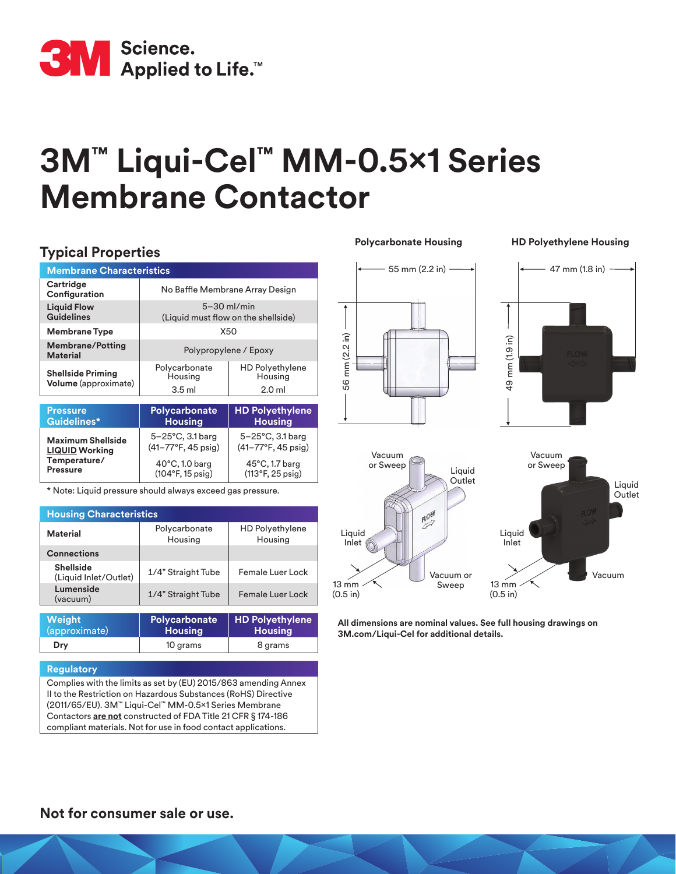

# **3M™ Liqui-Cel™ MM-0.5x1 Series Membrane Contactor**

## **Typical Properties**

| <b>Membrane Characteristics</b>                                                      |                                                                |                                              |  |  |
|--------------------------------------------------------------------------------------|----------------------------------------------------------------|----------------------------------------------|--|--|
| Cartridge<br>Configuration                                                           | No Baffle Membrane Array Design                                |                                              |  |  |
| <b>Liquid Flow</b><br><b>Guidelines</b>                                              | $5-30$ ml/min<br>(Liquid must flow on the shellside)           |                                              |  |  |
| <b>Membrane Type</b>                                                                 | X50                                                            |                                              |  |  |
| <b>Membrane/Potting</b><br>Material                                                  | Polypropylene / Epoxy                                          |                                              |  |  |
| <b>Shellside Priming</b><br>Volume (approximate)                                     | Polycarbonate<br>Housing                                       | HD Polyethylene<br>Housing                   |  |  |
|                                                                                      | $3.5$ ml                                                       | 2.0 <sub>m</sub>                             |  |  |
|                                                                                      |                                                                |                                              |  |  |
| <b>Pressure</b><br>Guidelines*                                                       | <b>Polycarbonate</b><br><b>Housing</b>                         | <b>HD Polyethylene</b><br><b>Housing</b>     |  |  |
| <b>Maximum Shellside</b><br><b>LIQUID Working</b><br>Temperature/<br><b>Pressure</b> | $5 - 25$ °C, 3.1 barg<br>$(41 - 77^{\circ}F, 45 \text{ psig})$ | 5-25°C, 3.1 barg<br>(41–77°F, 45 psig)       |  |  |
|                                                                                      | $40^{\circ}$ C, 1.0 barg<br>$(104°F, 15 \text{ psig})$         | $45^{\circ}$ C, 1.7 barg<br>(113°F, 25 psig) |  |  |

\* Note: Liquid pressure should always exceed gas pressure.

| <b>Housing Characteristics</b>            |                          |                                   |  |
|-------------------------------------------|--------------------------|-----------------------------------|--|
| Material                                  | Polycarbonate<br>Housing | <b>HD Polyethylene</b><br>Housing |  |
| <b>Connections</b>                        |                          |                                   |  |
| <b>Shellside</b><br>(Liquid Inlet/Outlet) | 1/4" Straight Tube       | Female Luer Lock                  |  |
| Lumenside<br>(vacuum)                     | 1/4" Straight Tube       | Female Luer Lock                  |  |
|                                           |                          |                                   |  |

| Weight        | Polycarbonate  | <b>HD Polyethylene</b> |
|---------------|----------------|------------------------|
| (approximate) | <b>Housing</b> | <b>Housing</b>         |
| Dry           | 10 grams       | 8 grams                |

#### **Regulatory**

Complies with the limits as set by (EU) 2015/863 amending Annex II to the Restriction on Hazardous Substances (RoHS) Directive (2011/65/EU). 3M™ Liqui-Cel™ MM-0.5x1 Series Membrane Contactors **are not** constructed of FDA Title 21 CFR § 174-186 compliant materials. Not for use in food contact applications.

**Polycarbonate Housing HD Polyethylene Housing**

Liquid Outlet



**All dimensions are nominal values. See full housing drawings on 3M.com/Liqui-Cel for additional details.**

(0.5 in)

(0.5 in)

#### **Not for consumer sale or use.**